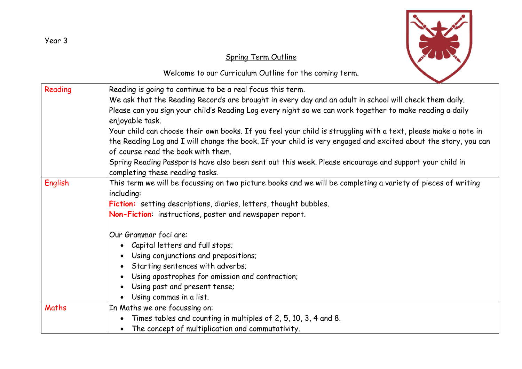

## Spring Term Outline

Welcome to our Curriculum Outline for the coming term.

| Reading | Reading is going to continue to be a real focus this term.                                                                                                                                                         |  |  |  |  |
|---------|--------------------------------------------------------------------------------------------------------------------------------------------------------------------------------------------------------------------|--|--|--|--|
|         | We ask that the Reading Records are brought in every day and an adult in school will check them daily.<br>Please can you sign your child's Reading Log every night so we can work together to make reading a daily |  |  |  |  |
|         |                                                                                                                                                                                                                    |  |  |  |  |
|         | enjoyable task.<br>Your child can choose their own books. If you feel your child is struggling with a text, please make a note in                                                                                  |  |  |  |  |
|         |                                                                                                                                                                                                                    |  |  |  |  |
|         |                                                                                                                                                                                                                    |  |  |  |  |
|         | Spring Reading Passports have also been sent out this week. Please encourage and support your child in                                                                                                             |  |  |  |  |
|         | completing these reading tasks.                                                                                                                                                                                    |  |  |  |  |
| English | This term we will be focussing on two picture books and we will be completing a variety of pieces of writing                                                                                                       |  |  |  |  |
|         | including:                                                                                                                                                                                                         |  |  |  |  |
|         | Fiction: setting descriptions, diaries, letters, thought bubbles.                                                                                                                                                  |  |  |  |  |
|         | Non-Fiction: instructions, poster and newspaper report.                                                                                                                                                            |  |  |  |  |
|         | Our Grammar foci are:                                                                                                                                                                                              |  |  |  |  |
|         | • Capital letters and full stops;                                                                                                                                                                                  |  |  |  |  |
|         | • Using conjunctions and prepositions;                                                                                                                                                                             |  |  |  |  |
|         | • Starting sentences with adverbs;                                                                                                                                                                                 |  |  |  |  |
|         | • Using apostrophes for omission and contraction;                                                                                                                                                                  |  |  |  |  |
|         | Using past and present tense;                                                                                                                                                                                      |  |  |  |  |
|         | • Using commas in a list.                                                                                                                                                                                          |  |  |  |  |
| Maths   | In Maths we are focussing on:                                                                                                                                                                                      |  |  |  |  |
|         | Times tables and counting in multiples of 2, 5, 10, 3, 4 and 8.<br>$\bullet$                                                                                                                                       |  |  |  |  |
|         | The concept of multiplication and commutativity.<br>$\bullet$                                                                                                                                                      |  |  |  |  |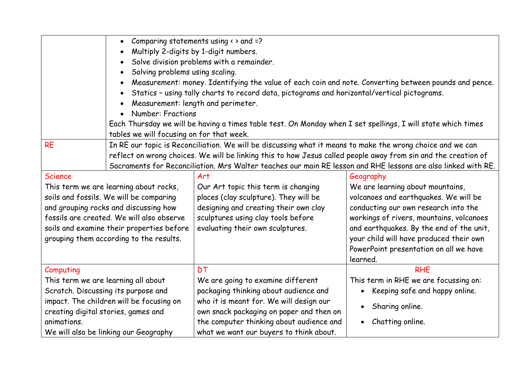|                                           | Comparing statements using $\leftrightarrow$ and =?<br>$\bullet$                                               |                                          |                                             |  |  |  |  |
|-------------------------------------------|----------------------------------------------------------------------------------------------------------------|------------------------------------------|---------------------------------------------|--|--|--|--|
|                                           | Multiply 2-digits by 1-digit numbers.                                                                          |                                          |                                             |  |  |  |  |
|                                           | Solve division problems with a remainder.                                                                      |                                          |                                             |  |  |  |  |
|                                           | Solving problems using scaling.                                                                                |                                          |                                             |  |  |  |  |
|                                           | Measurement: money. Identifying the value of each coin and note. Converting between pounds and pence.          |                                          |                                             |  |  |  |  |
|                                           | Statics - using tally charts to record data, pictograms and horizontal/vertical pictograms.<br>$\bullet$       |                                          |                                             |  |  |  |  |
|                                           | Measurement: length and perimeter.                                                                             |                                          |                                             |  |  |  |  |
|                                           | <b>Number: Fractions</b><br>$\bullet$                                                                          |                                          |                                             |  |  |  |  |
|                                           | Each Thursday we will be having a times table test. On Monday when I set spellings, I will state which times   |                                          |                                             |  |  |  |  |
|                                           | tables we will focusing on for that week.                                                                      |                                          |                                             |  |  |  |  |
| <b>RE</b>                                 | In RE our topic is Reconciliation. We will be discussing what it means to make the wrong choice and we can     |                                          |                                             |  |  |  |  |
|                                           | reflect on wrong choices. We will be linking this to how Jesus called people away from sin and the creation of |                                          |                                             |  |  |  |  |
|                                           | Sacraments for Reconciliation. Mrs Walter teaches our main RE lesson and RHE lessons are also linked with RE.  |                                          |                                             |  |  |  |  |
| <b>Science</b>                            |                                                                                                                | Art                                      | Geography                                   |  |  |  |  |
| This term we are learning about rocks,    |                                                                                                                | Our Art topic this term is changing      | We are learning about mountains,            |  |  |  |  |
| soils and fossils. We will be comparing   |                                                                                                                | places (clay sculpture). They will be    | volcanoes and earthquakes. We will be       |  |  |  |  |
| and grouping rocks and discussing how     |                                                                                                                | designing and creating their own clay    | conducting our own research into the        |  |  |  |  |
| fossils are created. We will also observe |                                                                                                                | sculptures using clay tools before       | workings of rivers, mountains, volcanoes    |  |  |  |  |
| soils and examine their properties before |                                                                                                                | evaluating their own sculptures.         | and earthquakes. By the end of the unit,    |  |  |  |  |
| grouping them according to the results.   |                                                                                                                |                                          | your child will have produced their own     |  |  |  |  |
|                                           |                                                                                                                |                                          | PowerPoint presentation on all we have      |  |  |  |  |
|                                           |                                                                                                                |                                          | learned.                                    |  |  |  |  |
| Computing                                 |                                                                                                                | <b>DT</b>                                | <b>RHE</b>                                  |  |  |  |  |
| This term we are learning all about       |                                                                                                                | We are going to examine different        | This term in RHE we are focussing on:       |  |  |  |  |
| Scratch. Discussing its purpose and       |                                                                                                                | packaging thinking about audience and    | Keeping safe and happy online.<br>$\bullet$ |  |  |  |  |
|                                           | impact. The children will be focusing on                                                                       | who it is meant for. We will design our  | Sharing online.                             |  |  |  |  |
|                                           | creating digital stories, games and                                                                            | own snack packaging on paper and then on |                                             |  |  |  |  |
| animations.                               |                                                                                                                | the computer thinking about audience and | Chatting online.                            |  |  |  |  |
| We will also be linking our Geography     |                                                                                                                | what we want our buyers to think about.  |                                             |  |  |  |  |